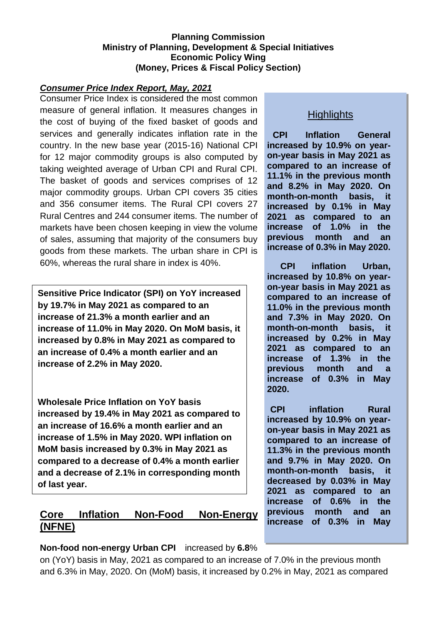#### **Planning Commission Ministry of Planning, Development & Special Initiatives Economic Policy Wing (Money, Prices & Fiscal Policy Section)**

#### *Consumer Price Index Report, May, 2021*

Consumer Price Index is considered the most common measure of general inflation. It measures changes in the cost of buying of the fixed basket of goods and services and generally indicates inflation rate in the country. In the new base year (2015-16) National CPI for 12 major commodity groups is also computed by taking weighted average of Urban CPI and Rural CPI. The basket of goods and services comprises of 12 major commodity groups. Urban CPI covers 35 cities and 356 consumer items. The Rural CPI covers 27 Rural Centres and 244 consumer items. The number of markets have been chosen keeping in view the volume of sales, assuming that majority of the consumers buy goods from these markets. The urban share in CPI is 60%, whereas the rural share in index is 40%.

**Sensitive Price Indicator (SPI) on YoY increased by 19.7% in May 2021 as compared to an increase of 21.3% a month earlier and an increase of 11.0% in May 2020. On MoM basis, it increased by 0.8% in May 2021 as compared to an increase of 0.4% a month earlier and an increase of 2.2% in May 2020.**

**Wholesale Price Inflation on YoY basis increased by 19.4% in May 2021 as compared to an increase of 16.6% a month earlier and an increase of 1.5% in May 2020. WPI inflation on MoM basis increased by 0.3% in May 2021 as compared to a decrease of 0.4% a month earlier and a decrease of 2.1% in corresponding month of last year.**

# **Core Inflation Non-Food Non-Energy (NFNE)**

### **Non-food non-energy Urban CPI** increased by **6.8**%

on (YoY) basis in May, 2021 as compared to an increase of 7.0% in the previous month and 6.3% in May, 2020. On (MoM) basis, it increased by 0.2% in May, 2021 as compared

## **Highlights**

**CPI Inflation General increased by 10.9% on yearon-year basis in May 2021 as compared to an increase of 11.1% in the previous month and 8.2% in May 2020. On month-on-month basis, it increased by 0.1% in May 2021 as compared to an increase of 1.0% in the previous month and an increase of 0.3% in May 2020.**

**CPI inflation Urban, increased by 10.8% on yearon-year basis in May 2021 as compared to an increase of 11.0% in the previous month and 7.3% in May 2020. On month-on-month basis, it increased by 0.2% in May 2021 as compared to an increase of 1.3% in the previous month and a increase of 0.3% in May 2020.**

**CPI inflation Rural increased by 10.9% on yearon-year basis in May 2021 as compared to an increase of 11.3% in the previous month and 9.7% in May 2020. On month-on-month basis, it decreased by 0.03% in May 2021 as compared to an increase of 0.6% in the previous month and an increase of 0.3% in May**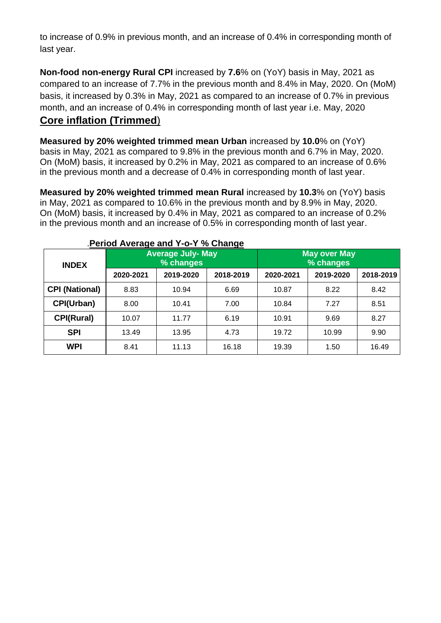to increase of 0.9% in previous month, and an increase of 0.4% in corresponding month of last year.

**Non-food non-energy Rural CPI** increased by **7.6**% on (YoY) basis in May, 2021 as compared to an increase of 7.7% in the previous month and 8.4% in May, 2020. On (MoM) basis, it increased by 0.3% in May, 2021 as compared to an increase of 0.7% in previous month, and an increase of 0.4% in corresponding month of last year i.e. May, 2020

# **Core inflation (Trimmed**)

**Measured by 20% weighted trimmed mean Urban** increased by **10.0**% on (YoY) basis in May, 2021 as compared to 9.8% in the previous month and 6.7% in May, 2020. On (MoM) basis, it increased by 0.2% in May, 2021 as compared to an increase of 0.6% in the previous month and a decrease of 0.4% in corresponding month of last year.

**Measured by 20% weighted trimmed mean Rural** increased by **10.3**% on (YoY) basis in May, 2021 as compared to 10.6% in the previous month and by 8.9% in May, 2020. On (MoM) basis, it increased by 0.4% in May, 2021 as compared to an increase of 0.2% in the previous month and an increase of 0.5% in corresponding month of last year.

| <b>INDEX</b>          |           | <b>Average July- May</b><br>% changes |           | <b>May over May</b><br>% changes |           |           |  |
|-----------------------|-----------|---------------------------------------|-----------|----------------------------------|-----------|-----------|--|
|                       | 2020-2021 | 2019-2020                             | 2018-2019 | 2020-2021                        | 2019-2020 | 2018-2019 |  |
| <b>CPI (National)</b> | 8.83      | 10.94                                 | 6.69      | 10.87                            | 8.22      | 8.42      |  |
| CPI(Urban)            | 8.00      | 10.41                                 | 7.00      | 10.84                            | 7.27      | 8.51      |  |
| <b>CPI(Rural)</b>     | 10.07     | 11.77                                 | 6.19      | 10.91                            | 9.69      | 8.27      |  |
| <b>SPI</b>            | 13.49     | 13.95                                 | 4.73      | 19.72                            | 10.99     | 9.90      |  |
| <b>WPI</b>            | 8.41      | 11.13                                 | 16.18     | 19.39                            | 1.50      | 16.49     |  |

#### .**Period Average and Y-o-Y % Change**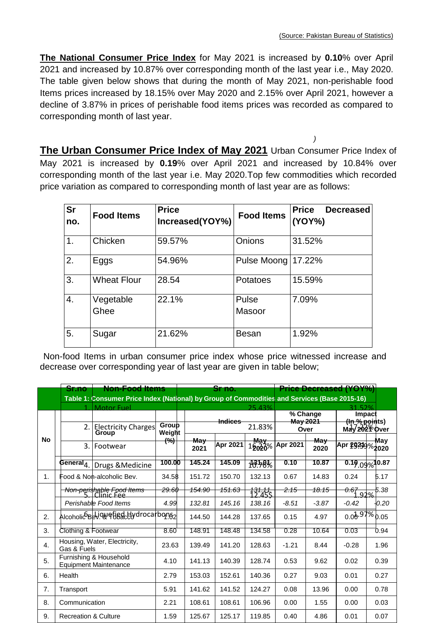**The National Consumer Price Index** for May 2021 is increased by **0.10**% over April 2021 and increased by 10.87% over corresponding month of the last year i.e., May 2020. The table given below shows that during the month of May 2021, non-perishable food Items prices increased by 18.15% over May 2020 and 2.15% over April 2021, however a decline of 3.87% in prices of perishable food items prices was recorded as compared to corresponding month of last year.

 *)* **The Urban Consumer Price Index of May 2021** Urban Consumer Price Index of May 2021 is increased by **0.19**% over April 2021 and increased by 10.84% over corresponding month of the last year i.e. May 2020.Top few commodities which recorded price variation as compared to corresponding month of last year are as follows:

| <b>Sr</b><br>no. | <b>Food Items</b>  | <b>Price</b><br>Increased(YOY%) | <b>Food Items</b>    | <b>Price</b><br><b>Decreased</b><br>(YOY%) |  |  |
|------------------|--------------------|---------------------------------|----------------------|--------------------------------------------|--|--|
| 1.               | Chicken            | 59.57%                          | Onions               | 31.52%                                     |  |  |
| 2.               | Eggs               | 54.96%                          | Pulse Moong   17.22% |                                            |  |  |
| 3.               | <b>Wheat Flour</b> | 28.54                           | <b>Potatoes</b>      | 15.59%                                     |  |  |
| 4.               | Vegetable<br>Ghee  | 22.1%                           | Pulse<br>Masoor      | 7.09%                                      |  |  |
| 5.               | Sugar              | 21.62%                          | <b>Besan</b>         | 1.92%                                      |  |  |

Non-food Items in urban consumer price index whose price witnessed increase and decrease over corresponding year of last year are given in table below;

|           |                   | <b>Sr.no</b><br><del>Non-Food Items</del> |                                                                                              |                  | <del>Sr no.</del> |                   |                             | <b>Price Decreased (YOY%)</b>  |                  |                                 |                           |  |
|-----------|-------------------|-------------------------------------------|----------------------------------------------------------------------------------------------|------------------|-------------------|-------------------|-----------------------------|--------------------------------|------------------|---------------------------------|---------------------------|--|
|           |                   |                                           | Table 1: Consumer Price Index (National) by Group of Commodities and Services (Base 2015-16) |                  |                   |                   |                             |                                |                  |                                 |                           |  |
|           | <b>Motor Fuel</b> |                                           |                                                                                              | 25.43%           |                   |                   | 52%                         |                                |                  |                                 |                           |  |
|           |                   |                                           | <del>Indices</del>                                                                           |                  |                   | % Change          |                             | <b>Impact</b><br>(ln % points) |                  |                                 |                           |  |
|           |                   | 2.                                        | <b>Electricity Charges</b>                                                                   | Group            | 21.83%            |                   |                             | May 2021<br>Over               |                  |                                 | May 202 <sup>7</sup> Over |  |
| <b>No</b> |                   |                                           | Group                                                                                        | Weight<br>(%)    | <del>Ma∨</del>    |                   | <b>May</b>                  |                                | Ma <del>∨</del>  |                                 | May                       |  |
|           |                   | 3.                                        | Footwear                                                                                     |                  | 2021              | Apr 2021          | 15020%                      | Apr 2021                       | 2020             | Apr 29.39%2020                  |                           |  |
|           | General $_4$      |                                           | Drugs & Medicine                                                                             | 100.00           | 145.24            | 145.09            | 13.78%                      | 0.10                           | 10.87            | 0.19.09%                        | 10.87                     |  |
| 1.        |                   |                                           | Food & Non-alcoholic Bev.                                                                    | 34.58            | 151.72            | 150.70            | 132.13                      | 0.67                           | 14.83            | 0.24                            | 5.17                      |  |
|           |                   |                                           | <del>Non-perishable Food Items</del><br>5. I Clinic Fee                                      | <del>29.60</del> | 154.90            | <del>151.63</del> | <del>131.11.</del><br>12 في | 2.15                           | <del>18.15</del> | 0.67<br>92%                     | 5.38                      |  |
|           |                   |                                           | Perishable Food Items                                                                        | 4.99             | 132.81            | 145.16            | 138.16                      | $-8.51$                        | $-3.87$          | $-0.42$                         | -0.20                     |  |
| 2.        |                   |                                           | Alcoholic Belicule etissicily drocarbons2                                                    |                  | 144.50            | 144.28            | 137.65                      | 0.15                           | 4.97             | $0.00^{1.97\%}$ <sub>0.05</sub> |                           |  |
| 3.        |                   |                                           | Clothing & Footwear                                                                          | 8.60             | 148.91            | 148.48            | 134.58                      | 0.28                           | 10.64            | 0.03                            | 0.94                      |  |
| 4.        | Gas & Fuels       |                                           | Housing, Water, Electricity,                                                                 | 23.63            | 139.49            | 141.20            | 128.63                      | $-1.21$                        | 8.44             | $-0.28$                         | 1.96                      |  |
| 5.        |                   |                                           | Furnishing & Household<br><b>Equipment Maintenance</b>                                       | 4.10             | 141.13            | 140.39            | 128.74                      | 0.53                           | 9.62             | 0.02                            | 0.39                      |  |
| 6.        | Health            |                                           |                                                                                              | 2.79             | 153.03            | 152.61            | 140.36                      | 0.27                           | 9.03             | 0.01                            | 0.27                      |  |
| 7.        | Transport         |                                           |                                                                                              | 5.91             | 141.62            | 141.52            | 124.27                      | 0.08                           | 13.96            | 0.00                            | 0.78                      |  |
| 8.        | Communication     |                                           |                                                                                              | 2.21             | 108.61            | 108.61            | 106.96                      | 0.00                           | 1.55             | 0.00                            | 0.03                      |  |
| 9.        |                   |                                           | <b>Recreation &amp; Culture</b>                                                              | 1.59             | 125.67            | 125.17            | 119.85                      | 0.40                           | 4.86             | 0.01                            | 0.07                      |  |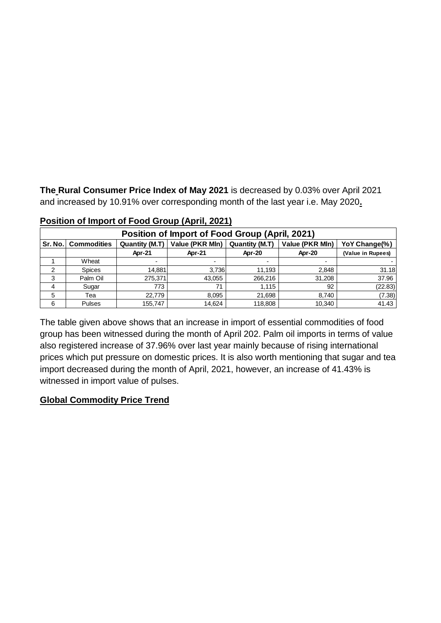**The Rural Consumer Price Index of May 2021** is decreased by 0.03% over April 2021 and increased by 10.91% over corresponding month of the last year i.e. May 2020**.**

| Position of Import of Food Group (April, 2021) |                       |                       |                                                                       |         |        |                   |  |  |  |
|------------------------------------------------|-----------------------|-----------------------|-----------------------------------------------------------------------|---------|--------|-------------------|--|--|--|
|                                                | Sr. No.   Commodities | <b>Quantity (M.T)</b> | Value (PKR Mln)<br>Quantity (M.T)<br>Value (PKR Mln)<br>YoY Change(%) |         |        |                   |  |  |  |
|                                                |                       | Apr-21                | Apr-21                                                                | Apr-20  | Apr-20 | (Value in Rupees) |  |  |  |
|                                                | Wheat                 | ۰                     |                                                                       |         |        |                   |  |  |  |
|                                                | <b>Spices</b>         | 14.881                | 3.736                                                                 | 11.193  | 2,848  | 31.18             |  |  |  |
| 3                                              | Palm Oil              | 275,371               | 43,055                                                                | 266,216 | 31,208 | 37.96             |  |  |  |
| 4                                              | Sugar                 | 773                   | 71                                                                    | 1.115   | 92     | (22.83)           |  |  |  |
| 5                                              | Tea                   | 22.779                | 8.095                                                                 | 21,698  | 8,740  | (7.38)            |  |  |  |
| 6                                              | Pulses                | 155,747               | 14,624                                                                | 118,808 | 10,340 | 41.43             |  |  |  |

**Position of Import of Food Group (April, 2021)**

The table given above shows that an increase in import of essential commodities of food group has been witnessed during the month of April 202. Palm oil imports in terms of value also registered increase of 37.96% over last year mainly because of rising international prices which put pressure on domestic prices. It is also worth mentioning that sugar and tea import decreased during the month of April, 2021, however, an increase of 41.43% is witnessed in import value of pulses.

## **Global Commodity Price Trend**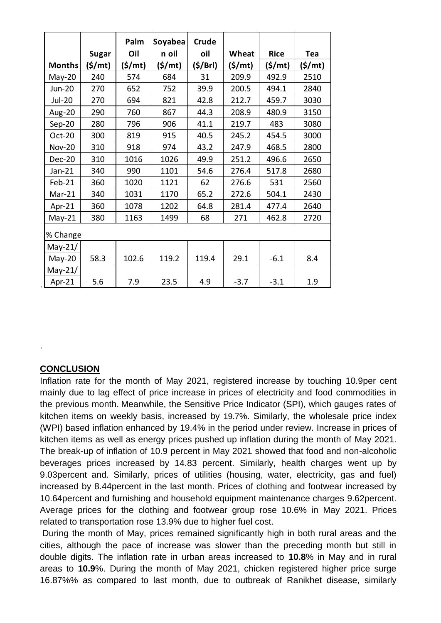|               | <b>Sugar</b>        | Palm<br>Oil         | Soyabea<br>n oil    | <b>Crude</b><br>oil | Wheat               | <b>Rice</b>         | Tea     |
|---------------|---------------------|---------------------|---------------------|---------------------|---------------------|---------------------|---------|
| <b>Months</b> | $(\frac{\xi}{m}$ t) | $(\frac{\xi}{m}$ t) | $(\frac{\xi}{m}$ t) | (5/Brl)             | $(\frac{\xi}{m}$ t) | $(\frac{\xi}{m}$ t) | (\$/mt) |
| May-20        | 240                 | 574                 | 684                 | 31                  | 209.9               | 492.9               | 2510    |
| <b>Jun-20</b> | 270                 | 652                 | 752                 | 39.9                | 200.5               | 494.1               | 2840    |
| <b>Jul-20</b> | 270                 | 694                 | 821                 | 42.8                | 212.7               | 459.7               | 3030    |
| <b>Aug-20</b> | 290                 | 760                 | 867                 | 44.3                | 208.9               | 480.9               | 3150    |
| $Sep-20$      | 280                 | 796                 | 906                 | 41.1                | 219.7               | 483                 | 3080    |
| Oct-20        | 300                 | 819                 | 915                 | 40.5                | 245.2               | 454.5               | 3000    |
| <b>Nov-20</b> | 310                 | 918                 | 974                 | 43.2                | 247.9               | 468.5               | 2800    |
| Dec-20        | 310                 | 1016                | 1026                | 49.9                | 251.2               | 496.6               | 2650    |
| $Jan-21$      | 340                 | 990                 | 1101                | 54.6                | 276.4               | 517.8               | 2680    |
| $Feb-21$      | 360                 | 1020                | 1121                | 62                  | 276.6               | 531                 | 2560    |
| $Mar-21$      | 340                 | 1031                | 1170                | 65.2                | 272.6               | 504.1               | 2430    |
| Apr-21        | 360                 | 1078                | 1202                | 64.8                | 281.4               | 477.4               | 2640    |
| $May-21$      | 380                 | 1163                | 1499                | 68                  | 271                 | 462.8               | 2720    |
| % Change      |                     |                     |                     |                     |                     |                     |         |
| May-21/       |                     |                     |                     |                     |                     |                     |         |
| $May-20$      | 58.3                | 102.6               | 119.2               | 119.4               | 29.1                | $-6.1$              | 8.4     |
| May-21/       |                     |                     |                     |                     |                     |                     |         |
| Apr-21        | 5.6                 | 7.9                 | 23.5                | 4.9                 | $-3.7$              | $-3.1$              | 1.9     |

### **CONCLUSION**

.

Inflation rate for the month of May 2021, registered increase by touching 10.9per cent mainly due to lag effect of price increase in prices of electricity and food commodities in the previous month. Meanwhile, the Sensitive Price Indicator (SPI), which gauges rates of kitchen items on weekly basis, increased by 19.7%. Similarly, the wholesale price index (WPI) based inflation enhanced by 19.4% in the period under review. Increase in prices of kitchen items as well as energy prices pushed up inflation during the month of May 2021. The break-up of inflation of 10.9 percent in May 2021 showed that food and non-alcoholic beverages prices increased by 14.83 percent. Similarly, health charges went up by 9.03percent and. Similarly, prices of utilities (housing, water, electricity, gas and fuel) increased by 8.44percent in the last month. Prices of clothing and footwear increased by 10.64percent and furnishing and household equipment maintenance charges 9.62percent. Average prices for the clothing and footwear group rose 10.6% in May 2021. Prices related to transportation rose 13.9% due to higher fuel cost.

During the month of May, prices remained significantly high in both rural areas and the cities, although the pace of increase was slower than the preceding month but still in double digits. The inflation rate in urban areas increased to **10.8**% in May and in rural areas to **10.9**%. During the month of May 2021, chicken registered higher price surge 16.87%% as compared to last month, due to outbreak of Ranikhet disease, similarly